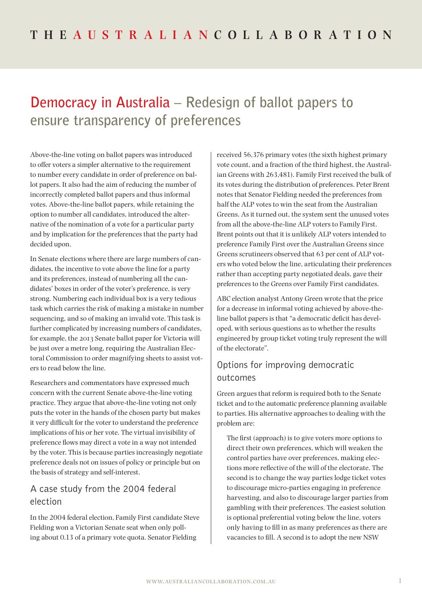# **Democracy in Australia – Redesign of ballot papers to ensure transparency of preferences**

Above-the-line voting on ballot papers was introduced to offer voters a simpler alternative to the requirement to number every candidate in order of preference on ballot papers. It also had the aim of reducing the number of incorrectly completed ballot papers and thus informal votes. Above-the-line ballot papers, while retaining the option to number all candidates, introduced the alternative of the nomination of a vote for a particular party and by implication for the preferences that the party had decided upon.

In Senate elections where there are large numbers of candidates, the incentive to vote above the line for a party and its preferences, instead of numbering all the candidates' boxes in order of the voter's preference, is very strong. Numbering each individual box is a very tedious task which carries the risk of making a mistake in number sequencing, and so of making an invalid vote. This task is further complicated by increasing numbers of candidates, for example, the 2013 Senate ballot paper for Victoria will be just over a metre long, requiring the Australian Electoral Commission to order magnifying sheets to assist voters to read below the line.

Researchers and commentators have expressed much concern with the current Senate above-the-line voting practice. They argue that above-the-line voting not only puts the voter in the hands of the chosen party but makes it very difficult for the voter to understand the preference implications of his or her vote. The virtual invisibility of preference flows may direct a vote in a way not intended by the voter. This is because parties increasingly negotiate preference deals not on issues of policy or principle but on the basis of strategy and self-interest.

## A case study from the 2004 federal election

In the 2004 federal election, Family First candidate Steve Fielding won a Victorian Senate seat when only polling about 0.13 of a primary vote quota. Senator Fielding

received 56,376 primary votes (the sixth highest primary vote count, and a fraction of the third highest, the Australian Greens with 263,481). Family First received the bulk of its votes during the distribution of preferences. Peter Brent notes that Senator Fielding needed the preferences from half the ALP votes to win the seat from the Australian Greens. As it turned out, the system sent the unused votes from all the above-the-line ALP voters to Family First. Brent points out that it is unlikely ALP voters intended to preference Family First over the Australian Greens since Greens scrutineers observed that 63 per cent of ALP voters who voted below the line, articulating their preferences rather than accepting party negotiated deals, gave their preferences to the Greens over Family First candidates.

ABC election analyst Antony Green wrote that the price for a decrease in informal voting achieved by above-theline ballot papers is that "a democratic deficit has developed, with serious questions as to whether the results engineered by group ticket voting truly represent the will of the electorate".

# Options for improving democratic outcomes

Green argues that reform is required both to the Senate ticket and to the automatic preference planning available to parties. His alternative approaches to dealing with the problem are:

The first (approach) is to give voters more options to direct their own preferences, which will weaken the control parties have over preferences, making elections more reflective of the will of the electorate. The second is to change the way parties lodge ticket votes to discourage micro-parties engaging in preference harvesting, and also to discourage larger parties from gambling with their preferences. The easiest solution is optional preferential voting below the line, voters only having to fill in as many preferences as there are vacancies to fill. A second is to adopt the new NSW